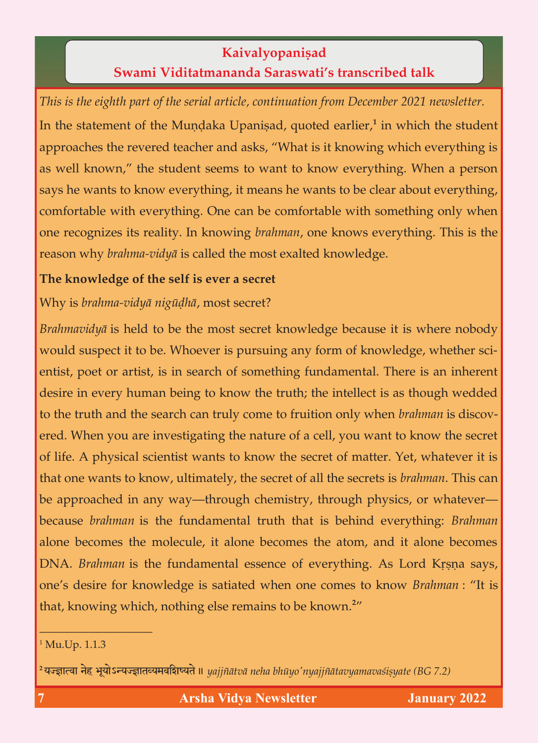## **Kaivalyopaniṣad**<br>**Swami Viditatmananda Saraswati's transcribed talk Swami Viditatmananda Saraswati's transcribed talk**

*This is the eighth part of the serial article, continuation from December 2021 newsletter.* In the statement of the Mundaka Upanisad, quoted earlier,<sup>1</sup> in which the student approaches the revered teacher and asks, "What is it knowing which everything is as well known," the student seems to want to know everything. When a person says he wants to know everything, it means he wants to be clear about everything, comfortable with everything. One can be comfortable with something only when one recognizes its reality. In knowing *brahman*, one knows everything. This is the reason why *brahma-vidyā* is called the most exalted knowledge. reason why *brahma-vidyä* is called the most exalted knowledge.

# **The knowledge of the self is ever a secret**

Why is *brahma-vidyä nigüòhä*, most secret?

*Brahmavidyā* is held to be the most secret knowledge because it is where nobody would suspect it to be. Whoever is pursuing any form of knowledge, whether scientist, poet or artist, is in search of something fundamental. There is an inherent desire in every human being to know the truth; the intellect is as though wedded to the truth and the search can truly come to fruition only when *brahman* is discovthe truth and truth and truth and truly cred. When you are investigating the nature of a cell, you want to know the secret of life. A physical scientist wants to know the secret of matter. Yet, whatever it is of life. A physical scientist wants to know the secret of matter. Yet, whatever it is in the secret of  $\mathcal{N}$ that one wants to know, ultimately, the secret of all the secrets is *brahman*. This can be approached in any way  $\sigma$  and  $\sigma$  in any way  $\sigma$  is  $\sigma$  when  $\sigma$ because *brahman* is the fundamental truth that is behind everything: *Brahman*  DNA. *Brahman* is the fundamental essence of everything. As Lord Krsna says, one's desire for knowledge is satiated when one comes to know *Brahman* : "It is one's desire for knowledge is satiated when one comes to know *Brahman* : "It is that, knowing which, nothing else remains to be known.**<sup>2</sup>**

### <sup>1</sup> Mu.Up. 1.1.3

\_\_\_\_\_\_\_\_\_\_\_\_\_\_\_\_\_\_

<sup>2</sup> यज्ज्ञात्वा नेह भूयोऽन्यज्ज्ञातव्यमवशिष्यते ॥ yajjñātvā neha bhūyo'nyajjñātavyamavasiṣyate (BG 7.2)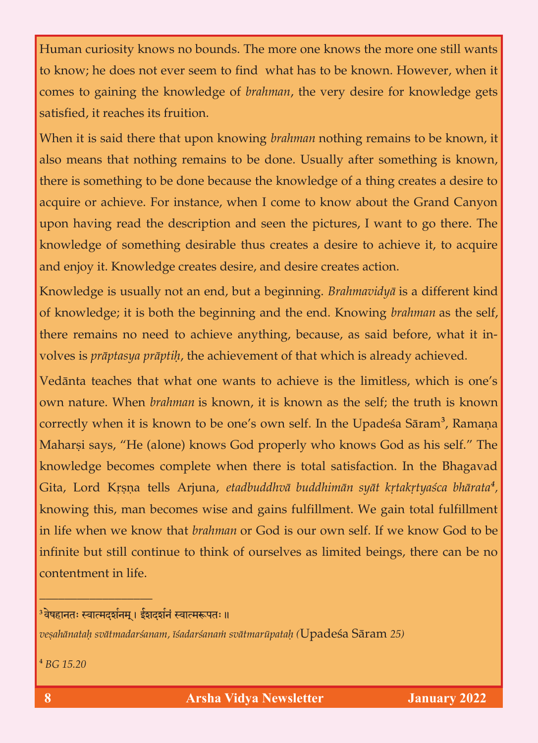Human curiosity knows no bounds. The more one knows the more one still wants<br>to know; he does not ever seem to find what has to be known. However, when it comes to gaining the knowledge of *brahman*, the very desire for knowledge gets comes to gaining the knowledge of *brahman*, the very desire for knowledge gets satisfied, it reaches its fruition.

When it is said there that upon knowing *brahman* nothing remains to be known, it also means that nothing remains to be done. Usually after something is known, there is something to be done because the knowledge of a thing creates a desire to acquire or achieve. For instance, when I come to know about the Grand Canyon upon having read the description and seen the pictures, I want to go there. The knowledge of something desirable thus creates a desire to achieve it, to acquire. and enjoy it. Knowledge creates desire, and desire creates action. and enjoy it. Knowledge creates desire, and desire creates action.

Knowledge is usually not an end, but a beginning. *Brahmavidyä* is a different kind there remains no need to achieve anything, because, as said before, what it involves is *prāptasya prāptih*, the achieve ment of that which is already achieved. volves is *präptasya präptiù*, the achievement of that which is already achieved.

Vedānta teaches that what one wants to achieve is the limitless, which is one's own nature. When *brahman* is known, it is known as the self; the truth is known own nature. When *brahman* is known, it is known as the self; the truth is known correctly when it is known to be one's own self. In the Upadeça Säram**<sup>3</sup>** Maharsi says, "He (alone) knows God properly who knows God as his self." The knowledge becomes complete when there is total satisfaction. In the Bhagavad knowledge becomes complete when the Bhagavada satisfaction. In the Bhagavada satisfaction. In the Bhagavada  $\theta$ Gita, Lord Kåñëa tells Arjuna, *etadbuddhvä buddhimän syät kåtakåtyaçca bhärata<sup>4</sup>* knowing this, man becomes wise and gains fulfillment. We gain total fulfillment in life when we know that *brahman* or God is our own self. If we know God to be in life when we know that *brahman* or God is our own self. If we know God to be infinite but still continue to the outselves as limited beings, there can be no contentment in life.

## <sup>3</sup>वेषहानतः स्वात्मदर्शनम् । ईशदर्शनं स्वात्मरूपतः ॥

 $\overline{\phantom{a}}$  , and the set of the set of the set of the set of the set of the set of the set of the set of the set of the set of the set of the set of the set of the set of the set of the set of the set of the set of the s

*veñahänataù svätmadarçanam, éçadarçanaà svätmarüpataù (*Upadeça Säram *25)*

**<sup>4</sup>** *BG 15.20*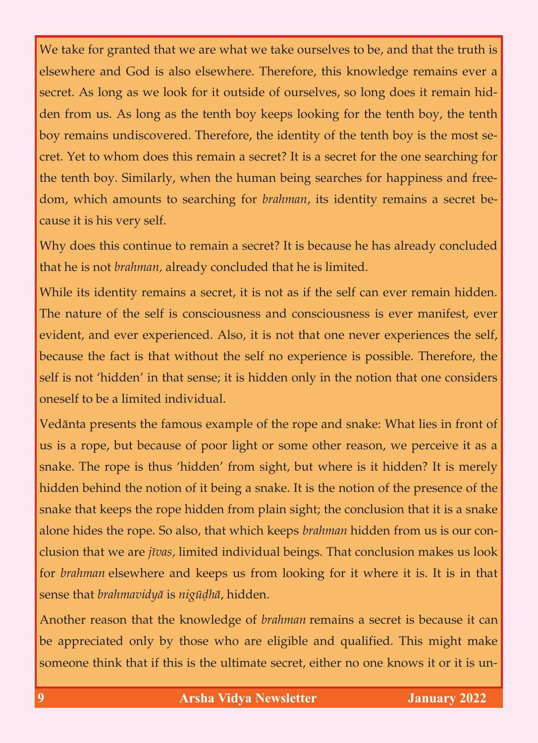We take for granted that we are what we take ourselves to be, and that the truth is elsewhere and God is also elsewhere. Therefore, this knowledge remains ever a secret. As long as we look for it outside of ourselves, so long does it remain hidden from us. As long as the tenth boy keeps looking for the tenth boy, the tenth boy remains undiscovered. Therefore, the identity of the tenth boy is the most secret. Yet to whom does this remain a secret? It is a secret for the one searching for the tenth boy. Similarly, when the human being searches for happiness and free- $\frac{1}{2}$  the tenth boy. Similarly, when the human being searches for happiness and free-formal free-formal free-formal free-formal free-formal free-formal free-formal free-formal free-formal free-formal free-formal freedom, which amounts to searching for *brahman*, its identity remains a secret because it is his very self.

Why does this continue to remain a secret? It is because he has already concluded that he is not *brahman*, already concluded that he is limited. that he is not *brahman,* already concluded that he is limited.

While its identity remains a secret, it is not as if the self can ever remain hidden.<br>The nature of the self is consciousness and consciousness is ever manifest, ever The nature of the self is consciousness and consciousness and consciousness is ever manifest, ever  $\mathcal{C}$ evident, and ever experienced. Also, it is not that one never experiences that one never experiences the self, because the fact is that without the self no experience is possible. Therefore, the self is not 'hidden' in that sense; it is hidden only in that sense; it is hidden only in the notion that one c  $\sigma$  and  $\sigma$  and  $\sigma$  and  $\sigma$ 

Vedānta presents the famous example of the rope and snake: What lies in front of us is a rope, but because of poor light or some other reason, we perceive it as a  $\mathbf{r}$  is a rounded because of poor light or some other reason, we perceive it as a set  $\mathbf{r}$ snake. The rope is thus 'hidden' from sight, but where is it hidden is it hidden. It is merely it hidden? It is merely it is merely it is mediant to the sight, but where it is mediant to the sight of  $\alpha$ hidden behind the notion of it being a snake. It is the notion of the presence of the snake that keeps the rope hidden from plain sight; the conclusion that it is a snake snake that keeps the rope hidden from plain sight; the conclusion that it is a snake  $\mathbf{r}$ alone hides the rope. So also, that which keeps *brahman* hidden from us is our con-<br>clusion that we are *jīvas*, limited individual beings. That conclusion makes us look clusion that we are *jévas*, limited individual beings. That conclusion makes us look for *brahman* elsewhere and keeps us from looking for it where it is. It is in that sense that *brahmavidyä* is *nigüòhä*, hidden.

Another reason that the knowledge of *brahman* remains a secret is because it can be appreciated only by those who are eligible and qualified. This might make be appreciated only by the control  $\sigma$  and  $\tau$  are eligible and  $\sigma$  might make  $\sigma$ someone think that if this is the ultimate secret, either no one knows it or it is un